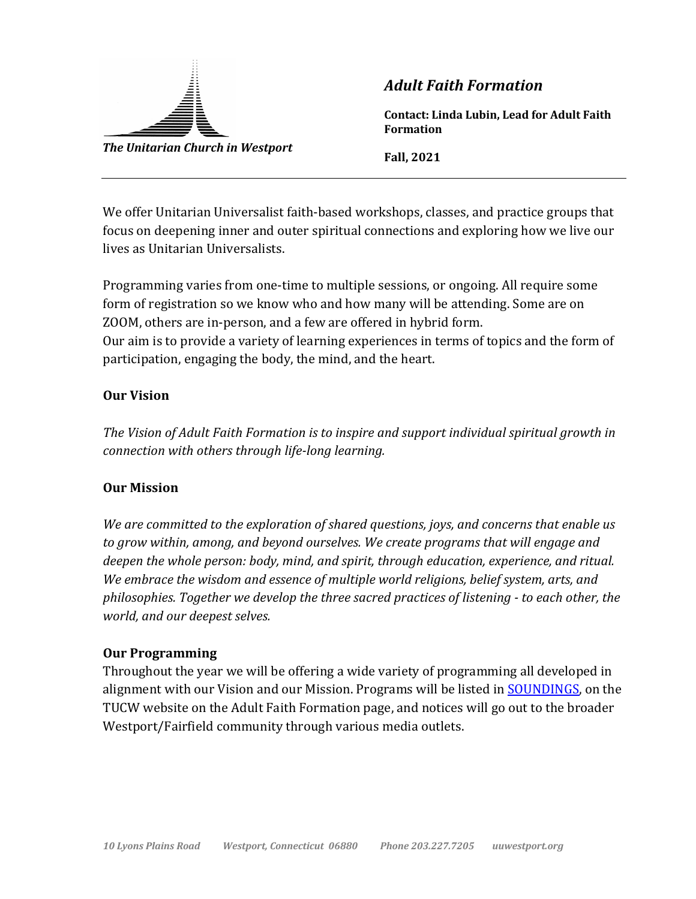

*Adult Faith Formation*

**Contact: Linda Lubin, Lead for Adult Faith Formation**

**Fall, 2021**

We offer Unitarian Universalist faith-based workshops, classes, and practice groups that focus on deepening inner and outer spiritual connections and exploring how we live our lives as Unitarian Universalists.

Programming varies from one-time to multiple sessions, or ongoing. All require some form of registration so we know who and how many will be attending. Some are on ZOOM, others are in-person, and a few are offered in hybrid form. Our aim is to provide a variety of learning experiences in terms of topics and the form of participation, engaging the body, the mind, and the heart.

## **Our Vision**

The Vision of Adult Faith Formation is to inspire and support individual spiritual growth in *connection with others through life-long learning.* 

## **Our Mission**

We are committed to the exploration of shared questions, joys, and concerns that enable us to grow within, among, and beyond ourselves. We create programs that will engage and *deepen the whole person: body, mind, and spirit, through education, experience, and ritual.* We embrace the wisdom and essence of multiple world religions, belief system, arts, and philosophies. Together we develop the three sacred practices of listening - to each other, the *world, and our deepest selves.* 

## **Our Programming**

Throughout the year we will be offering a wide variety of programming all developed in alignment with our Vision and our Mission. Programs will be listed in SOUNDINGS, on the TUCW website on the Adult Faith Formation page, and notices will go out to the broader Westport/Fairfield community through various media outlets.